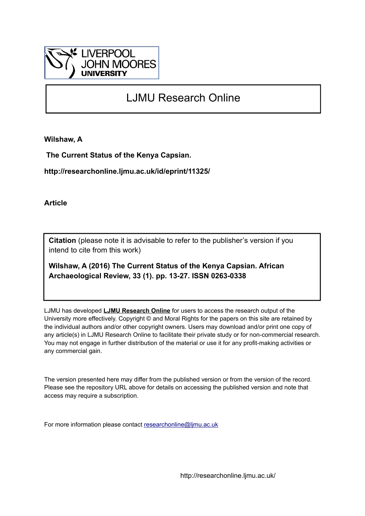

# LJMU Research Online

**Wilshaw, A**

 **The Current Status of the Kenya Capsian.**

**http://researchonline.ljmu.ac.uk/id/eprint/11325/**

**Article**

**Citation** (please note it is advisable to refer to the publisher's version if you intend to cite from this work)

**Wilshaw, A (2016) The Current Status of the Kenya Capsian. African Archaeological Review, 33 (1). pp. 13-27. ISSN 0263-0338** 

LJMU has developed **[LJMU Research Online](http://researchonline.ljmu.ac.uk/)** for users to access the research output of the University more effectively. Copyright © and Moral Rights for the papers on this site are retained by the individual authors and/or other copyright owners. Users may download and/or print one copy of any article(s) in LJMU Research Online to facilitate their private study or for non-commercial research. You may not engage in further distribution of the material or use it for any profit-making activities or any commercial gain.

The version presented here may differ from the published version or from the version of the record. Please see the repository URL above for details on accessing the published version and note that access may require a subscription.

For more information please contact [researchonline@ljmu.ac.uk](mailto:researchonline@ljmu.ac.uk)

http://researchonline.ljmu.ac.uk/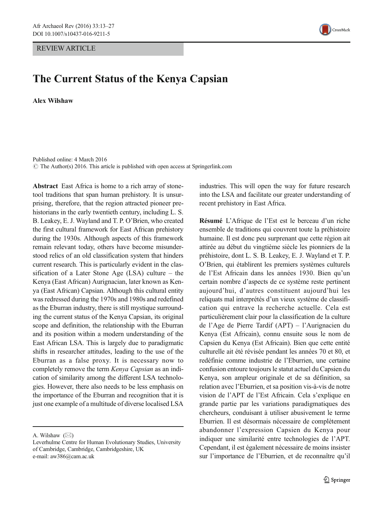#### REVIEW ARTICLE



# The Current Status of the Kenya Capsian

Alex Wilshaw

Published online: 4 March 2016  $\odot$  The Author(s) 2016. This article is published with open access at Springerlink.com

Abstract East Africa is home to a rich array of stonetool traditions that span human prehistory. It is unsurprising, therefore, that the region attracted pioneer prehistorians in the early twentieth century, including L. S. B. Leakey, E. J. Wayland and T. P. O'Brien, who created the first cultural framework for East African prehistory during the 1930s. Although aspects of this framework remain relevant today, others have become misunderstood relics of an old classification system that hinders current research. This is particularly evident in the classification of a Later Stone Age (LSA) culture – the Kenya (East African) Aurignacian, later known as Kenya (East African) Capsian. Although this cultural entity was redressed during the 1970s and 1980s and redefined as the Eburran industry, there is still mystique surrounding the current status of the Kenya Capsian, its original scope and definition, the relationship with the Eburran and its position within a modern understanding of the East African LSA. This is largely due to paradigmatic shifts in researcher attitudes, leading to the use of the Eburran as a false proxy. It is necessary now to completely remove the term Kenya Capsian as an indication of similarity among the different LSA technologies. However, there also needs to be less emphasis on the importance of the Eburran and recognition that it is just one example of a multitude of diverse localised LSA

industries. This will open the way for future research into the LSA and facilitate our greater understanding of recent prehistory in East Africa.

Résumé L'Afrique de l'Est est le berceau d'un riche ensemble de traditions qui couvrent toute la préhistoire humaine. Il est donc peu surprenant que cette région ait attirée au début du vingtième siècle les pionniers de la préhistoire, dont L. S. B. Leakey, E. J. Wayland et T. P. O'Brien, qui établirent les premiers systèmes culturels de l'Est Africain dans les années 1930. Bien qu'un certain nombre d'aspects de ce système reste pertinent aujourd'hui, d'autres constituent aujourd'hui les reliquats mal interprétés d'un vieux système de classification qui entrave la recherche actuelle. Cela est particulièrement clair pour la classification de la culture de l'Age de Pierre Tardif (APT) – l'Aurignacien du Kenya (Est Africain), connu ensuite sous le nom de Capsien du Kenya (Est Africain). Bien que cette entité culturelle ait été révisée pendant les années 70 et 80, et redéfinie comme industrie de l'Eburrien, une certaine confusion entoure toujours le statut actuel du Capsien du Kenya, son ampleur originale et de sa définition, sa relation avec l'Eburrien, et sa position vis-à-vis de notre vision de l'APT de l'Est Africain. Cela s'explique en grande partie par les variations paradigmatiques des chercheurs, conduisant à utiliser abusivement le terme Eburrien. Il est désormais nécessaire de complètement abandonner l'expression Capsien du Kenya pour indiquer une similarité entre technologies de l'APT. Cependant, il est également nécessaire de moins insister sur l'importance de l'Eburrien, et de reconnaître qu'il

A. Wilshaw  $(\boxtimes)$ 

Leverhulme Centre for Human Evolutionary Studies, University of Cambridge, Cambridge, Cambridgeshire, UK e-mail: aw386@cam.ac.uk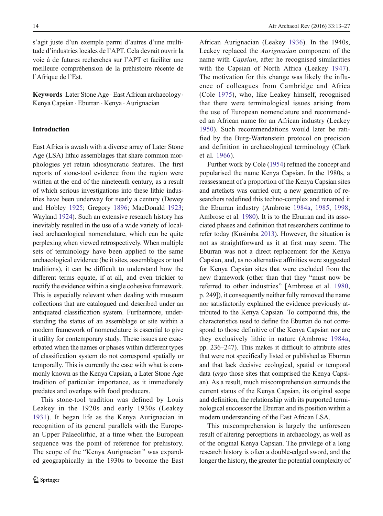s'agit juste d'un exemple parmi d'autres d'une multitude d'industries locales de l'APT. Cela devrait ouvrir la voie à de futures recherches sur l'APT et faciliter une meilleure compréhension de la préhistoire récente de l'Afrique de l'Est.

Keywords Later Stone Age . East African archaeology. Kenya Capsian . Eburran . Kenya . Aurignacian

#### Introduction

East Africa is awash with a diverse array of Later Stone Age (LSA) lithic assemblages that share common morphologies yet retain idiosyncratic features. The first reports of stone-tool evidence from the region were written at the end of the nineteenth century, as a result of which serious investigations into these lithic industries have been underway for nearly a century (Dewey and Hobley [1925](#page-14-0); Gregory [1896](#page-14-0); MacDonald [1923](#page-14-0); Wayland [1924](#page-15-0)). Such an extensive research history has inevitably resulted in the use of a wide variety of localised archaeological nomenclature, which can be quite perplexing when viewed retrospectively. When multiple sets of terminology have been applied to the same archaeological evidence (be it sites, assemblages or tool traditions), it can be difficult to understand how the different terms equate, if at all, and even trickier to rectify the evidence within a single cohesive framework. This is especially relevant when dealing with museum collections that are catalogued and described under an antiquated classification system. Furthermore, understanding the status of an assemblage or site within a modern framework of nomenclature is essential to give it utility for contemporary study. These issues are exacerbated when the names or phases within different types of classification system do not correspond spatially or temporally. This is currently the case with what is commonly known as the Kenya Capsian, a Later Stone Age tradition of particular importance, as it immediately predates and overlaps with food producers.

This stone-tool tradition was defined by Louis Leakey in the 1920s and early 1930s (Leakey [1931](#page-14-0)). It began life as the Kenya Aurignacian in recognition of its general parallels with the European Upper Palaeolithic, at a time when the European sequence was the point of reference for prehistory. The scope of the "Kenya Aurignacian" was expanded geographically in the 1930s to become the East African Aurignacian (Leakey [1936\)](#page-14-0). In the 1940s, Leakey replaced the Aurignacian component of the name with Capsian, after he recognised similarities with the Capsian of North Africa (Leakey [1947](#page-14-0)). The motivation for this change was likely the influence of colleagues from Cambridge and Africa (Cole [1975\)](#page-14-0), who, like Leakey himself, recognised that there were terminological issues arising from the use of European nomenclature and recommended an African name for an African industry (Leakey [1950](#page-14-0)). Such recommendations would later be ratified by the Burg-Wartenstein protocol on precision and definition in archaeological terminology (Clark et al. [1966](#page-14-0)).

Further work by Cole [\(1954\)](#page-14-0) refined the concept and popularised the name Kenya Capsian. In the 1980s, a reassessment of a proportion of the Kenya Capsian sites and artefacts was carried out; a new generation of researchers redefined this techno-complex and renamed it the Eburran industry (Ambrose [1984a,](#page-13-0) [1985,](#page-13-0) [1998;](#page-13-0) Ambrose et al. [1980](#page-13-0)). It is to the Eburran and its associated phases and definition that researchers continue to refer today (Kusimba [2013](#page-14-0)). However, the situation is not as straightforward as it at first may seem. The Eburran was not a direct replacement for the Kenya Capsian, and, as no alternative affinities were suggested for Kenya Capsian sites that were excluded from the new framework (other than that they "must now be referred to other industries" [Ambrose et al. [1980,](#page-13-0) p. 249]), it consequently neither fully removed the name nor satisfactorily explained the evidence previously attributed to the Kenya Capsian. To compound this, the characteristics used to define the Eburran do not correspond to those definitive of the Kenya Capsian nor are they exclusively lithic in nature (Ambrose [1984a,](#page-13-0) pp. 236–247). This makes it difficult to attribute sites that were not specifically listed or published as Eburran and that lack decisive ecological, spatial or temporal data (ergo those sites that comprised the Kenya Capsian). As a result, much miscomprehension surrounds the current status of the Kenya Capsian, its original scope and definition, the relationship with its purported terminological successor the Eburran and its position within a modern understanding of the East African LSA.

This miscomprehension is largely the unforeseen result of altering perceptions in archaeology, as well as of the original Kenya Capsian. The privilege of a long research history is often a double-edged sword, and the longer the history, the greater the potential complexity of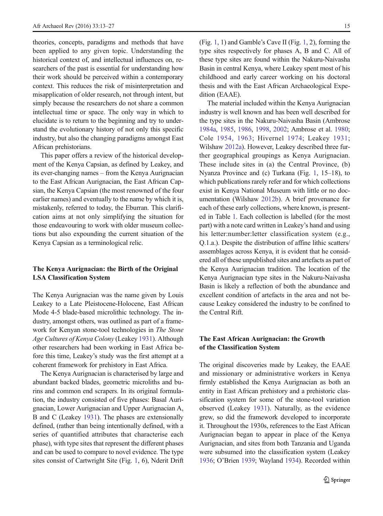theories, concepts, paradigms and methods that have been applied to any given topic. Understanding the historical context of, and intellectual influences on, researchers of the past is essential for understanding how their work should be perceived within a contemporary context. This reduces the risk of misinterpretation and misapplication of older research, not through intent, but simply because the researchers do not share a common intellectual time or space. The only way in which to elucidate is to return to the beginning and try to understand the evolutionary history of not only this specific industry, but also the changing paradigms amongst East African prehistorians.

This paper offers a review of the historical development of the Kenya Capsian, as defined by Leakey, and its ever-changing names – from the Kenya Aurignacian to the East African Aurignacian, the East African Capsian, the Kenya Capsian (the most renowned of the four earlier names) and eventually to the name by which it is, mistakenly, referred to today, the Eburran. This clarification aims at not only simplifying the situation for those endeavouring to work with older museum collections but also expounding the current situation of the Kenya Capsian as a terminological relic.

### The Kenya Aurignacian: the Birth of the Original LSA Classification System

The Kenya Aurignacian was the name given by Louis Leakey to a Late Pleistocene-Holocene, East African Mode 4-5 blade-based microlithic technology. The industry, amongst others, was outlined as part of a framework for Kenyan stone-tool technologies in The Stone Age Cultures of Kenya Colony (Leakey [1931\)](#page-14-0). Although other researchers had been working in East Africa before this time, Leakey's study was the first attempt at a coherent framework for prehistory in East Africa.

The Kenya Aurignacian is characterised by large and abundant backed blades, geometric microliths and burins and common end scrapers. In its original formulation, the industry consisted of five phases: Basal Aurignacian, Lower Aurignacian and Upper Aurignacian A, B and C (Leakey [1931\)](#page-14-0). The phases are extensionally defined, (rather than being intentionally defined, with a series of quantified attributes that characterise each phase), with type sites that represent the different phases and can be used to compare to novel evidence. The type sites consist of Cartwright Site (Fig. [1,](#page-4-0) 6), Nderit Drift (Fig. [1,](#page-4-0) 1) and Gamble's Cave II (Fig. [1,](#page-4-0) 2), forming the type sites respectively for phases A, B and C. All of these type sites are found within the Nakuru-Naivasha Basin in central Kenya, where Leakey spent most of his childhood and early career working on his doctoral thesis and with the East African Archaeological Expedition (EAAE).

The material included within the Kenya Aurignacian industry is well known and has been well described for the type sites in the Nakuru-Naivasha Basin (Ambrose [1984a,](#page-13-0) [1985](#page-13-0), [1986](#page-13-0), [1998,](#page-13-0) [2002](#page-13-0); Ambrose et al. [1980;](#page-13-0) Cole [1954](#page-14-0), [1963;](#page-14-0) Hivernel [1974](#page-14-0); Leakey [1931;](#page-14-0) Wilshaw [2012a](#page-15-0)). However, Leakey described three further geographical groupings as Kenya Aurignacian. These include sites in (a) the Central Province, (b) Nyanza Province and (c) Turkana (Fig. [1](#page-4-0), 15–18), to which publications rarely refer and for which collections exist in Kenya National Museum with little or no documentation (Wilshaw [2012b\)](#page-15-0). A brief provenance for each of these early collections, where known, is presented in Table [1](#page-7-0). Each collection is labelled (for the most part) with a note card written in Leakey's hand and using his letter:number:letter classification system (e.g., Q.1.a.). Despite the distribution of affine lithic scatters/ assemblages across Kenya, it is evident that he considered all of these unpublished sites and artefacts as part of the Kenya Aurignacian tradition. The location of the Kenya Aurignacian type sites in the Nakuru-Naivasha Basin is likely a reflection of both the abundance and excellent condition of artefacts in the area and not because Leakey considered the industry to be confined to the Central Rift.

## The East African Aurignacian: the Growth of the Classification System

The original discoveries made by Leakey, the EAAE and missionary or administrative workers in Kenya firmly established the Kenya Aurignacian as both an entity in East African prehistory and a prehistoric classification system for some of the stone-tool variation observed (Leakey [1931](#page-14-0)). Naturally, as the evidence grew, so did the framework developed to incorporate it. Throughout the 1930s, references to the East African Aurignacian began to appear in place of the Kenya Aurignacian, and sites from both Tanzania and Uganda were subsumed into the classification system (Leakey [1936](#page-14-0); O'Brien [1939](#page-15-0); Wayland [1934\)](#page-15-0). Recorded within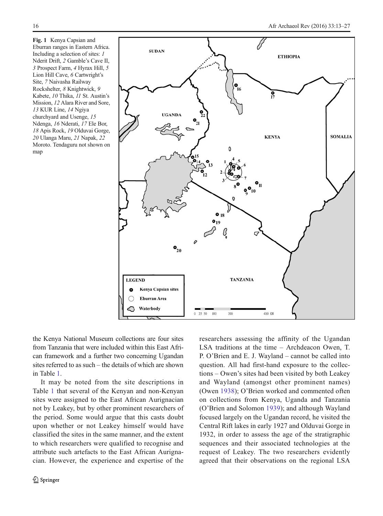<span id="page-4-0"></span>Fig. 1 Kenya Capsian and Eburran ranges in Eastern Africa. Including a selection of sites: 1 Nderit Drift, 2 Gamble's Cave II, 3 Prospect Farm, 4 Hyrax Hill, 5 Lion Hill Cave, 6 Cartwright's Site, 7 Naivasha Railway Rockshelter, 8 Knightwick, 9 Kabete, 10 Thika, 11 St. Austin's Mission, 12 Alara River and Sore, 13 KUR Line, 14 Ngiya churchyard and Usenge, 15 Ndenga, 16 Nderati, 17 Ele Bor, 18 Apis Rock, 19 Olduvai Gorge, 20 Ulanga Maru, 21 Napak, 22 Moroto. Tendaguru not shown on map



the Kenya National Museum collections are four sites from Tanzania that were included within this East African framework and a further two concerning Ugandan sites referred to as such – the details of which are shown in Table [1.](#page-7-0)

It may be noted from the site descriptions in Table [1](#page-7-0) that several of the Kenyan and non-Kenyan sites were assigned to the East African Aurignacian not by Leakey, but by other prominent researchers of the period. Some would argue that this casts doubt upon whether or not Leakey himself would have classified the sites in the same manner, and the extent to which researchers were qualified to recognise and attribute such artefacts to the East African Aurignacian. However, the experience and expertise of the

researchers assessing the affinity of the Ugandan LSA traditions at the time – Archdeacon Owen, T. P. O'Brien and E. J. Wayland – cannot be called into question. All had first-hand exposure to the collections – Owen's sites had been visited by both Leakey and Wayland (amongst other prominent names) (Owen [1938](#page-15-0)); O'Brien worked and commented often on collections from Kenya, Uganda and Tanzania (O'Brien and Solomon [1939\)](#page-15-0); and although Wayland focused largely on the Ugandan record, he visited the Central Rift lakes in early 1927 and Olduvai Gorge in 1932, in order to assess the age of the stratigraphic sequences and their associated technologies at the request of Leakey. The two researchers evidently agreed that their observations on the regional LSA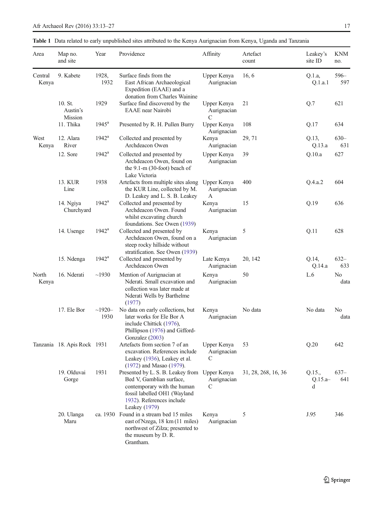<span id="page-5-0"></span>

| Table 1 Data related to early unpublished sites attributed to the Kenya Aurignacian from Kenya, Uganda and Tanzania |  |
|---------------------------------------------------------------------------------------------------------------------|--|
|---------------------------------------------------------------------------------------------------------------------|--|

| Area             | Map no.<br>and site            | Year             | Providence                                                                                                                                                                             | Affinity                                   | Artefact<br>count   | Leakey's<br>site ID      | <b>KNM</b><br>no. |
|------------------|--------------------------------|------------------|----------------------------------------------------------------------------------------------------------------------------------------------------------------------------------------|--------------------------------------------|---------------------|--------------------------|-------------------|
| Central<br>Kenya | 9. Kabete                      | 1928,<br>1932    | Surface finds from the<br>East African Archaeological<br>Expedition (EAAE) and a<br>donation from Charles Wainine                                                                      | Upper Kenya<br>Aurignacian                 | 16, 6               | Q.1.a<br>Q.1.a.1         | $596 -$<br>597    |
|                  | 10. St.<br>Austin's<br>Mission | 1929             | Surface find discovered by the<br>EAAE near Nairobi                                                                                                                                    | Upper Kenya<br>Aurignacian<br>C            | 21                  | Q.7                      | 621               |
|                  | 11. Thika                      | $1945^{\rm a}$   | Presented by R. H. Pullen Burry                                                                                                                                                        | Upper Kenya<br>Aurignacian                 | 108                 | Q.17                     | 634               |
| West<br>Kenya    | 12. Alara<br>River             | $1942^a$         | Collected and presented by<br>Archdeacon Owen                                                                                                                                          | Kenya<br>Aurignacian                       | 29, 71              | Q.13,<br>Q.13.a          | $630-$<br>631     |
|                  | 12. Sore                       | $1942^a$         | Collected and presented by<br>Archdeacon Owen, found on<br>the 9.1-m (30-foot) beach of<br>Lake Victoria                                                                               | Upper Kenya<br>Aurignacian                 | 39                  | Q.10.a                   | 627               |
|                  | 13. KUR<br>Line                | 1938             | Artefacts from multiple sites along<br>the KUR Line, collected by M.<br>D. Leakey and L. S. B. Leakey                                                                                  | Upper Kenya<br>Aurignacian<br>А            | 400                 | Q.4.a.2                  | 604               |
|                  | 14. Ngiya<br>Churchyard        | $1942^a$         | Collected and presented by<br>Archdeacon Owen. Found<br>whilst excavating church<br>foundations. See Owen (1939)                                                                       | Kenya<br>Aurignacian                       | 15                  | Q.19                     | 636               |
|                  | 14. Usenge                     | $1942^a$         | Collected and presented by<br>Archdeacon Owen, found on a<br>steep rocky hillside without<br>stratification. See Owen (1939)                                                           | Kenya<br>Aurignacian                       | 5                   | Q.11                     | 628               |
|                  | 15. Ndenga                     | $1942^a$         | Collected and presented by<br>Archdeacon Owen                                                                                                                                          | Late Kenya<br>Aurignacian                  | 20, 142             | Q.14<br>Q.14.a           | $632 -$<br>633    |
| North<br>Kenya   | 16. Nderati                    | ~1930            | Mention of Aurignacian at<br>Nderati. Small excavation and<br>collection was later made at<br>Nderati Wells by Barthelme<br>(1977)                                                     | Kenya<br>Aurignacian                       | 50                  | L.6                      | No<br>data        |
|                  | 17. Ele Bor                    | $~1920-$<br>1930 | No data on early collections, but<br>later works for Ele Bor A<br>include Chittick (1976),<br>Phillipson (1976) and Gifford-<br>Gonzalez (2003)                                        | Kenya<br>Aurignacian                       | No data             | No data                  | No<br>data        |
|                  | Tanzania 18. Apis Rock 1931    |                  | Artefacts from section 7 of an<br>excavation. References include<br>Leakey (1936), Leakey et al.<br>(1972) and Masao (1979).                                                           | Upper Kenya<br>Aurignacian<br>$\mathbf{C}$ | 53                  | Q.20                     | 642               |
|                  | 19. Olduvai<br>Gorge           | 1931             | Presented by L. S. B. Leakey from Upper Kenya<br>Bed V, Gamblian surface,<br>contemporary with the human<br>fossil labelled OH1 (Wayland<br>1932). References include<br>Leakey (1979) | Aurignacian<br>C                           | 31, 28, 268, 16, 36 | Q.15.,<br>$Q.15.a-$<br>d | $637 -$<br>641    |
|                  | 20. Ulanga<br>Maru             |                  | ca. 1930 Found in a stream bed 15 miles<br>east of Nzega, 18 km (11 miles)<br>northwest of Zilza; presented to<br>the museum by D. R.<br>Grantham.                                     | Kenya<br>Aurignacian                       | 5                   | J.95                     | 346               |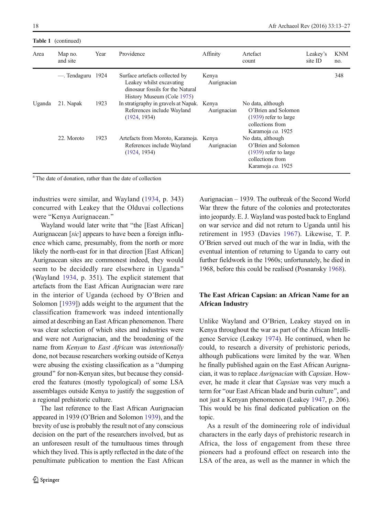Table 1 (continued)

| Area   | Map no.<br>and site | Year | Providence                                                                                                                   | Affinity             | Artefact<br>count                                                                                            | Leakey's<br>site ID | <b>KNM</b><br>no. |
|--------|---------------------|------|------------------------------------------------------------------------------------------------------------------------------|----------------------|--------------------------------------------------------------------------------------------------------------|---------------------|-------------------|
|        | — Tendaguru         | 1924 | Surface artefacts collected by<br>Leakey whilst excavating<br>dinosaur fossils for the Natural<br>History Museum (Cole 1975) | Kenya<br>Aurignacian |                                                                                                              |                     | 348               |
| Uganda | 21. Napak           | 1923 | In stratigraphy in gravels at Napak.<br>References include Wayland<br>(1924, 1934)                                           | Kenya<br>Aurignacian | No data, although<br>O'Brien and Solomon<br>$(1939)$ refer to large<br>collections from<br>Karamoja ca. 1925 |                     |                   |
|        | 22. Moroto          | 1923 | Artefacts from Moroto, Karamoja.<br>References include Wayland<br>(1924, 1934)                                               | Kenya<br>Aurignacian | No data, although<br>O'Brien and Solomon<br>$(1939)$ refer to large<br>collections from<br>Karamoja ca. 1925 |                     |                   |

a The date of donation, rather than the date of collection

industries were similar, and Wayland [\(1934,](#page-15-0) p. 343) concurred with Leakey that the Olduvai collections were "Kenya Aurignacean."

Wayland would later write that "the [East African] Aurignacean [sic] appears to have been a foreign influence which came, presumably, from the north or more likely the north-east for in that direction [East African] Aurignacean sites are commonest indeed, they would seem to be decidedly rare elsewhere in Uganda" (Wayland [1934](#page-15-0), p. 351). The explicit statement that artefacts from the East African Aurignacian were rare in the interior of Uganda (echoed by O'Brien and Solomon [\[1939\]](#page-15-0)) adds weight to the argument that the classification framework was indeed intentionally aimed at describing an East African phenomenon. There was clear selection of which sites and industries were and were not Aurignacian, and the broadening of the name from Kenyan to East African was intentionally done, not because researchers working outside of Kenya were abusing the existing classification as a "dumping" ground" for non-Kenyan sites, but because they considered the features (mostly typological) of some LSA assemblages outside Kenya to justify the suggestion of a regional prehistoric culture.

The last reference to the East African Aurignacian appeared in 1939 (O'Brien and Solomon [1939](#page-15-0)), and the brevity of use is probably the result not of any conscious decision on the part of the researchers involved, but as an unforeseen result of the tumultuous times through which they lived. This is aptly reflected in the date of the penultimate publication to mention the East African Aurignacian – 1939. The outbreak of the Second World War threw the future of the colonies and protectorates into jeopardy. E. J. Wayland was posted back to England on war service and did not return to Uganda until his retirement in 1953 (Davies [1967\)](#page-14-0). Likewise, T. P. O'Brien served out much of the war in India, with the eventual intention of returning to Uganda to carry out further fieldwork in the 1960s; unfortunately, he died in 1968, before this could be realised (Posnansky [1968\)](#page-15-0).

# The East African Capsian: an African Name for an African Industry

Unlike Wayland and O'Brien, Leakey stayed on in Kenya throughout the war as part of the African Intelligence Service (Leakey [1974](#page-14-0)). He continued, when he could, to research a diversity of prehistoric periods, although publications were limited by the war. When he finally published again on the East African Aurignacian, it was to replace Aurignacian with Capsian. However, he made it clear that Capsian was very much a term for "our East African blade and burin culture", and not just a Kenyan phenomenon (Leakey [1947,](#page-14-0) p. 206). This would be his final dedicated publication on the topic.

As a result of the domineering role of individual characters in the early days of prehistoric research in Africa, the loss of engagement from these three pioneers had a profound effect on research into the LSA of the area, as well as the manner in which the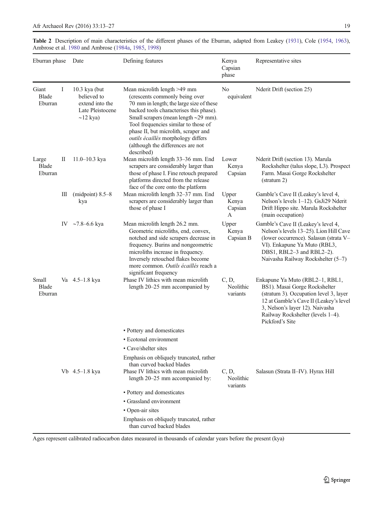<span id="page-7-0"></span>

| Table 2 Description of main characteristics of the different phases of the Eburran, adapted from Leakey (1931), Cole (1954, 1963). |  |  |  |  |  |  |  |
|------------------------------------------------------------------------------------------------------------------------------------|--|--|--|--|--|--|--|
| Ambrose et al. 1980 and Ambrose (1984a, 1985, 1998)                                                                                |  |  |  |  |  |  |  |

| Eburran phase                    |    | Date                                                                                    | Defining features                                                                                                                                                                                                                                                                                                                                                      | Kenya<br>Capsian<br>phase      | Representative sites                                                                                                                                                                                                                            |  |  |
|----------------------------------|----|-----------------------------------------------------------------------------------------|------------------------------------------------------------------------------------------------------------------------------------------------------------------------------------------------------------------------------------------------------------------------------------------------------------------------------------------------------------------------|--------------------------------|-------------------------------------------------------------------------------------------------------------------------------------------------------------------------------------------------------------------------------------------------|--|--|
| Giant<br><b>Blade</b><br>Eburran | Ι  | $10.3$ kya (but<br>believed to<br>extend into the<br>Late Pleistocene<br>$\sim$ 12 kya) | Mean microlith length >49 mm<br>(crescents commonly being over<br>70 mm in length; the large size of these<br>backed tools characterises this phase).<br>Small scrapers (mean length ~29 mm).<br>Tool frequencies similar to those of<br>phase II, but microlith, scraper and<br>outils écaillés morphology differs<br>(although the differences are not<br>described) | No<br>equivalent               | Nderit Drift (section 25)                                                                                                                                                                                                                       |  |  |
| Large<br>Blade<br>Eburran        | П  | $11.0 - 10.3$ kya                                                                       | Mean microlith length 33-36 mm. End<br>scrapers are considerably larger than<br>those of phase I. Fine retouch prepared<br>platforms directed from the release<br>face of the core onto the platform                                                                                                                                                                   | Lower<br>Kenya<br>Capsian      | Nderit Drift (section 13). Marula<br>Rockshelter (talus slope, L3). Prospect<br>Farm. Masai Gorge Rockshelter<br>(stratum 2)                                                                                                                    |  |  |
|                                  | Ш  | (midpoint) $8.5-8$<br>kya                                                               | Mean microlith length 32-37 mm. End<br>scrapers are considerably larger than<br>those of phase I                                                                                                                                                                                                                                                                       | Upper<br>Kenya<br>Capsian<br>А | Gamble's Cave II (Leakey's level 4,<br>Nelson's levels 1-12). GsJi29 Nderit<br>Drift Hippo site. Marula Rockshelter<br>(main occupation)                                                                                                        |  |  |
|                                  | IV | ~7.8–6.6 kya                                                                            | Mean microlith length 26.2 mm.<br>Geometric microliths, end, convex,<br>notched and side scrapers decrease in<br>frequency. Burins and nongeometric<br>microliths increase in frequency.<br>Inversely retouched flakes become<br>more common. Outils écaillés reach a<br>significant frequency                                                                         | Upper<br>Kenya<br>Capsian B    | Gamble's Cave II (Leakey's level 4,<br>Nelson's levels 13-25). Lion Hill Cave<br>(lower occurrence). Salasun (strata V-<br>VI). Enkapune Ya Muto (RBL3,<br>DBS1, RBL2-3 and RBL2-2).<br>Naivasha Railway Rockshelter (5–7)                      |  |  |
| Small<br><b>Blade</b><br>Eburran |    | Va 4.5-1.8 kya                                                                          | Phase IV lithics with mean microlith<br>length 20-25 mm accompanied by                                                                                                                                                                                                                                                                                                 | C, D,<br>Neolithic<br>variants | Enkapune Ya Muto (RBL2-1, RBL1,<br>BS1). Masai Gorge Rockshelter<br>(stratum 3). Occupation level 3, layer<br>12 at Gamble's Cave II (Leakey's level<br>3, Nelson's layer 12). Naivasha<br>Railway Rockshelter (levels 1-4).<br>Pickford's Site |  |  |
|                                  |    |                                                                                         | • Pottery and domesticates                                                                                                                                                                                                                                                                                                                                             |                                |                                                                                                                                                                                                                                                 |  |  |
|                                  |    |                                                                                         | • Ecotonal environment                                                                                                                                                                                                                                                                                                                                                 |                                |                                                                                                                                                                                                                                                 |  |  |
|                                  |    |                                                                                         | • Cave/shelter sites                                                                                                                                                                                                                                                                                                                                                   |                                |                                                                                                                                                                                                                                                 |  |  |
|                                  |    | Vb 4.5-1.8 kya                                                                          | Emphasis on obliquely truncated, rather<br>than curved backed blades<br>Phase IV lithics with mean microlith<br>length 20-25 mm accompanied by:                                                                                                                                                                                                                        | C, D,<br>Neolithic<br>variants | Salasun (Strata II-IV). Hyrax Hill                                                                                                                                                                                                              |  |  |
|                                  |    |                                                                                         | • Pottery and domesticates                                                                                                                                                                                                                                                                                                                                             |                                |                                                                                                                                                                                                                                                 |  |  |
|                                  |    |                                                                                         | • Grassland environment                                                                                                                                                                                                                                                                                                                                                |                                |                                                                                                                                                                                                                                                 |  |  |
|                                  |    |                                                                                         | • Open-air sites                                                                                                                                                                                                                                                                                                                                                       |                                |                                                                                                                                                                                                                                                 |  |  |
|                                  |    |                                                                                         | Emphasis on obliquely truncated, rather<br>than curved backed blades                                                                                                                                                                                                                                                                                                   |                                |                                                                                                                                                                                                                                                 |  |  |

Ages represent calibrated radiocarbon dates measured in thousands of calendar years before the present (kya)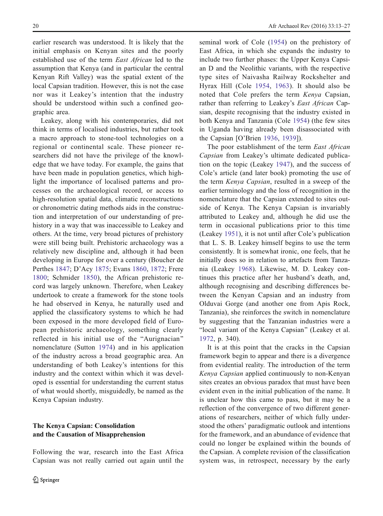earlier research was understood. It is likely that the initial emphasis on Kenyan sites and the poorly established use of the term East African led to the assumption that Kenya (and in particular the central Kenyan Rift Valley) was the spatial extent of the local Capsian tradition. However, this is not the case nor was it Leakey's intention that the industry should be understood within such a confined geographic area.

Leakey, along with his contemporaries, did not think in terms of localised industries, but rather took a macro approach to stone-tool technologies on a regional or continental scale. These pioneer researchers did not have the privilege of the knowledge that we have today. For example, the gains that have been made in population genetics, which highlight the importance of localised patterns and processes on the archaeological record, or access to high-resolution spatial data, climatic reconstructions or chronometric dating methods aids in the construction and interpretation of our understanding of prehistory in a way that was inaccessible to Leakey and others. At the time, very broad pictures of prehistory were still being built. Prehistoric archaeology was a relatively new discipline and, although it had been developing in Europe for over a century (Boucher de Perthes [1847;](#page-13-0) D'Acy [1875](#page-14-0); Evans [1860,](#page-14-0) [1872](#page-14-0); Frere [1800](#page-14-0); Schmider [1850\)](#page-15-0), the African prehistoric record was largely unknown. Therefore, when Leakey undertook to create a framework for the stone tools he had observed in Kenya, he naturally used and applied the classificatory systems to which he had been exposed in the more developed field of European prehistoric archaeology, something clearly reflected in his initial use of the "Aurignacian" nomenclature (Sutton [1974](#page-15-0)) and in his application of the industry across a broad geographic area. An understanding of both Leakey's intentions for this industry and the context within which it was developed is essential for understanding the current status of what would shortly, misguidedly, be named as the Kenya Capsian industry.

# The Kenya Capsian: Consolidation and the Causation of Misapprehension

Following the war, research into the East Africa Capsian was not really carried out again until the seminal work of Cole [\(1954\)](#page-14-0) on the prehistory of East Africa, in which she expands the industry to include two further phases: the Upper Kenya Capsian D and the Neolithic variants, with the respective type sites of Naivasha Railway Rockshelter and Hyrax Hill (Cole [1954](#page-14-0), [1963\)](#page-14-0). It should also be noted that Cole prefers the term Kenya Capsian, rather than referring to Leakey's East African Capsian, despite recognising that the industry existed in both Kenya and Tanzania (Cole [1954\)](#page-14-0) (the few sites in Uganda having already been disassociated with the Capsian [O'Brien [1936](#page-14-0), [1939](#page-15-0)]).

The poor establishment of the term East African Capsian from Leakey's ultimate dedicated publication on the topic (Leakey [1947\)](#page-14-0), and the success of Cole's article (and later book) promoting the use of the term Kenya Capsian, resulted in a sweep of the earlier terminology and the loss of recognition in the nomenclature that the Capsian extended to sites outside of Kenya. The Kenya Capsian is invariably attributed to Leakey and, although he did use the term in occasional publications prior to this time (Leakey [1951](#page-14-0)), it is not until after Cole's publication that L. S. B. Leakey himself begins to use the term consistently. It is somewhat ironic, one feels, that he initially does so in relation to artefacts from Tanzania (Leakey [1968\)](#page-14-0). Likewise, M. D. Leakey continues this practice after her husband's death, and, although recognising and describing differences between the Kenyan Capsian and an industry from Olduvai Gorge (and another one from Apis Rock, Tanzania), she reinforces the switch in nomenclature by suggesting that the Tanzanian industries were a "local variant of the Kenya Capsian" (Leakey et al. [1972](#page-14-0), p. 340).

It is at this point that the cracks in the Capsian framework begin to appear and there is a divergence from evidential reality. The introduction of the term Kenya Capsian applied continuously to non-Kenyan sites creates an obvious paradox that must have been evident even in the initial publication of the name. It is unclear how this came to pass, but it may be a reflection of the convergence of two different generations of researchers, neither of which fully understood the others' paradigmatic outlook and intentions for the framework, and an abundance of evidence that could no longer be explained within the bounds of the Capsian. A complete revision of the classification system was, in retrospect, necessary by the early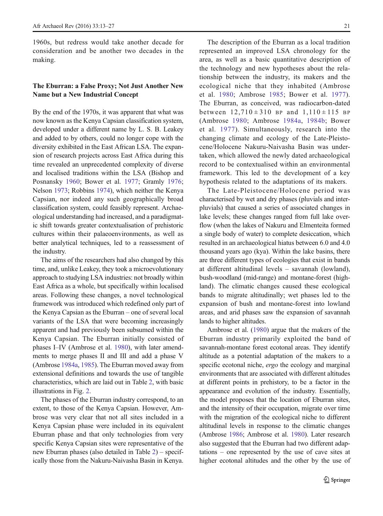1960s, but redress would take another decade for consideration and be another two decades in the making.

### The Eburran: a False Proxy; Not Just Another New Name but a New Industrial Concept

By the end of the 1970s, it was apparent that what was now known as the Kenya Capsian classification system, developed under a different name by L. S. B. Leakey and added to by others, could no longer cope with the diversity exhibited in the East African LSA. The expansion of research projects across East Africa during this time revealed an unprecedented complexity of diverse and localised traditions within the LSA (Bishop and Posnansky [1960](#page-13-0); Bower et al. [1977;](#page-14-0) Gramly [1976](#page-14-0); Nelson [1973;](#page-14-0) Robbins [1974](#page-15-0)), which neither the Kenya Capsian, nor indeed any such geographically broad classification system, could feasibly represent. Archaeological understanding had increased, and a paradigmatic shift towards greater contextualisation of prehistoric cultures within their palaeoenvironments, as well as better analytical techniques, led to a reassessment of the industry.

The aims of the researchers had also changed by this time, and, unlike Leakey, they took a microevolutionary approach to studying LSA industries: not broadly within East Africa as a whole, but specifically within localised areas. Following these changes, a novel technological framework was introduced which redefined only part of the Kenya Capsian as the Eburran – one of several local variants of the LSA that were becoming increasingly apparent and had previously been subsumed within the Kenya Capsian. The Eburran initially consisted of phases I–IV (Ambrose et al. [1980\)](#page-13-0), with later amendments to merge phases II and III and add a phase V (Ambrose [1984a](#page-13-0), [1985](#page-13-0)). The Eburran moved away from extensional definitions and towards the use of tangible characteristics, which are laid out in Table [2,](#page-5-0) with basic illustrations in Fig. [2.](#page-10-0)

The phases of the Eburran industry correspond, to an extent, to those of the Kenya Capsian. However, Ambrose was very clear that not all sites included in a Kenya Capsian phase were included in its equivalent Eburran phase and that only technologies from very specific Kenya Capsian sites were representative of the new Eburran phases (also detailed in Table [2](#page-5-0)) – specifically those from the Nakuru-Naivasha Basin in Kenya.

The description of the Eburran as a local tradition represented an improved LSA chronology for the area, as well as a basic quantitative description of the technology and new hypotheses about the relationship between the industry, its makers and the ecological niche that they inhabited (Ambrose et al. [1980;](#page-13-0) Ambrose [1985](#page-13-0); Bower et al. [1977](#page-14-0)). The Eburran, as conceived, was radiocarbon-dated between  $12,710 \pm 310$  BP and  $1,110 \pm 115$  BP (Ambrose [1980;](#page-13-0) Ambrose [1984a](#page-13-0), [1984b;](#page-13-0) Bower et al. [1977](#page-14-0)). Simultaneously, research into the changing climate and ecology of the Late-Pleistocene/Holocene Nakuru-Naivasha Basin was undertaken, which allowed the newly dated archaeological record to be contextualised within an environmental framework. This led to the development of a key hypothesis related to the adaptations of its makers.

The Late-Pleistocene/Holocene period was characterised by wet and dry phases (pluvials and interpluvials) that caused a series of associated changes in lake levels; these changes ranged from full lake overflow (when the lakes of Nakuru and Elmenteita formed a single body of water) to complete desiccation, which resulted in an archaeological hiatus between 6.0 and 4.0 thousand years ago (kya). Within the lake basins, there are three different types of ecologies that exist in bands at different altitudinal levels – savannah (lowland), bush-woodland (mid-range) and montane-forest (highland). The climatic changes caused these ecological bands to migrate altitudinally; wet phases led to the expansion of bush and montane-forest into lowland areas, and arid phases saw the expansion of savannah lands to higher altitudes.

Ambrose et al. ([1980](#page-13-0)) argue that the makers of the Eburran industry primarily exploited the band of savannah-montane forest ecotonal areas. They identify altitude as a potential adaptation of the makers to a specific ecotonal niche, ergo the ecology and marginal environments that are associated with different altitudes at different points in prehistory, to be a factor in the appearance and evolution of the industry. Essentially, the model proposes that the location of Eburran sites, and the intensity of their occupation, migrate over time with the migration of the ecological niche to different altitudinal levels in response to the climatic changes (Ambrose [1986;](#page-13-0) Ambrose et al. [1980](#page-13-0)). Later research also suggested that the Eburran had two different adaptations – one represented by the use of cave sites at higher ecotonal altitudes and the other by the use of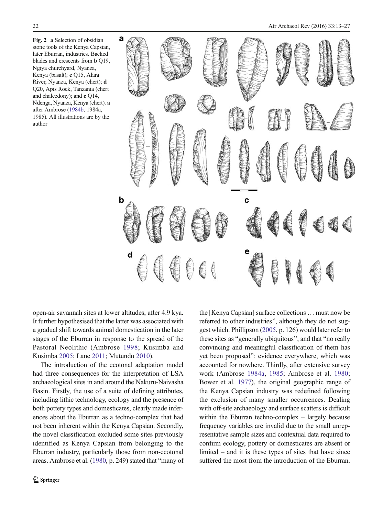<span id="page-10-0"></span>Fig. 2 a Selection of obsidian stone tools of the Kenya Capsian, later Eburran, industries. Backed blades and crescents from b Q19, Ngiya churchyard, Nyanza, Kenya (basalt); c Q15, Alara River, Nyanza, Kenya (chert); d Q20, Apis Rock, Tanzania (chert and chalcedony); and e Q14, Ndenga, Nyanza, Kenya (chert). a after Ambrose ([1984b](#page-13-0), 1984a, 1985). All illustrations are by the author



open-air savannah sites at lower altitudes, after 4.9 kya. It further hypothesised that the latter was associated with a gradual shift towards animal domestication in the later stages of the Eburran in response to the spread of the Pastoral Neolithic (Ambrose [1998](#page-13-0); Kusimba and Kusimba [2005](#page-14-0); Lane [2011;](#page-14-0) Mutundu [2010](#page-14-0)).

The introduction of the ecotonal adaptation model had three consequences for the interpretation of LSA archaeological sites in and around the Nakuru-Naivasha Basin. Firstly, the use of a suite of defining attributes, including lithic technology, ecology and the presence of both pottery types and domesticates, clearly made inferences about the Eburran as a techno-complex that had not been inherent within the Kenya Capsian. Secondly, the novel classification excluded some sites previously identified as Kenya Capsian from belonging to the Eburran industry, particularly those from non-ecotonal areas. Ambrose et al. ([1980](#page-13-0), p. 249) stated that "many of the [Kenya Capsian] surface collections … must now be referred to other industries", although they do not suggest which. Phillipson ([2005](#page-15-0), p. 126) would later refer to these sites as "generally ubiquitous", and that "no really convincing and meaningful classification of them has yet been proposed": evidence everywhere, which was accounted for nowhere. Thirdly, after extensive survey work (Ambrose [1984a,](#page-13-0) [1985;](#page-13-0) Ambrose et al. [1980;](#page-13-0) Bower et al. [1977](#page-14-0)), the original geographic range of the Kenya Capsian industry was redefined following the exclusion of many smaller occurrences. Dealing with off-site archaeology and surface scatters is difficult within the Eburran techno-complex – largely because frequency variables are invalid due to the small unrepresentative sample sizes and contextual data required to confirm ecology, pottery or domesticates are absent or limited – and it is these types of sites that have since suffered the most from the introduction of the Eburran.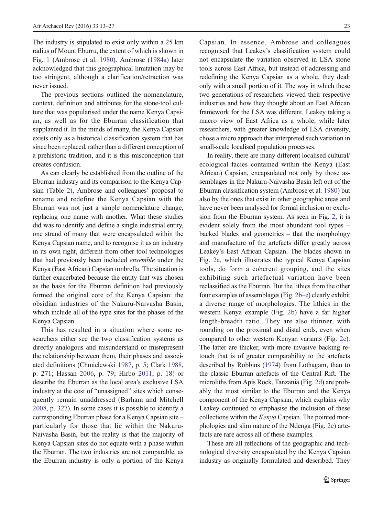The industry is stipulated to exist only within a 25 km radius of Mount Eburru, the extent of which is shown in Fig. [1](#page-4-0) (Ambrose et al. [1980\)](#page-13-0). Ambrose [\(1984a](#page-13-0)) later acknowledged that this geographical limitation may be too stringent, although a clarification/retraction was never issued.

The previous sections outlined the nomenclature, context, definition and attributes for the stone-tool culture that was popularised under the name Kenya Capsian, as well as for the Eburran classification that supplanted it. In the minds of many, the Kenya Capsian exists only as a historical classification system that has since been replaced, rather than a different conception of a prehistoric tradition, and it is this misconception that creates confusion.

As can clearly be established from the outline of the Eburran industry and its comparison to the Kenya Capsian (Table [2](#page-5-0)), Ambrose and colleagues' proposal to rename and redefine the Kenya Capsian with the Eburran was not just a simple nomenclature change, replacing one name with another. What these studies did was to identify and define a single industrial entity, one strand of many that were encapsulated within the Kenya Capsian name, and to recognise it as an industry in its own right, different from other tool technologies that had previously been included ensemble under the Kenya (East African) Capsian umbrella. The situation is further exacerbated because the entity that was chosen as the basis for the Eburran definition had previously formed the original core of the Kenya Capsian: the obsidian industries of the Nakuru-Naivasha Basin, which include all of the type sites for the phases of the Kenya Capsian.

This has resulted in a situation where some researchers either see the two classification systems as directly analogous and misunderstand or misrepresent the relationship between them, their phases and associated definitions (Chmielewski [1987,](#page-14-0) p. 5; Clark [1988,](#page-14-0) p. 271; Hassan [2006](#page-14-0), p. 79; Hirbo [2011,](#page-14-0) p. 18) or describe the Eburran as the local area's exclusive LSA industry at the cost of "unassigned" sites which consequently remain unaddressed (Barham and Mitchell [2008](#page-13-0), p. 327). In some cases it is possible to identify a corresponding Eburran phase for a Kenya Capsian site – particularly for those that lie within the Nakuru-Naivasha Basin, but the reality is that the majority of Kenya Capsian sites do not equate with a phase within the Eburran. The two industries are not comparable, as the Eburran industry is only a portion of the Kenya

Capsian. In essence, Ambrose and colleagues recognised that Leakey's classification system could not encapsulate the variation observed in LSA stone tools across East Africa, but instead of addressing and redefining the Kenya Capsian as a whole, they dealt only with a small portion of it. The way in which these two generations of researchers viewed their respective industries and how they thought about an East African framework for the LSA was different, Leakey taking a macro view of East Africa as a whole, while later researchers, with greater knowledge of LSA diversity, chose a micro approach that interpreted such variation in small-scale localised population processes.

In reality, there are many different localised cultural/ ecological facies contained within the Kenya (East African) Capsian, encapsulated not only by those assemblages in the Nakuru-Naivasha Basin left out of the Eburran classification system (Ambrose et al. [1980](#page-13-0)) but also by the ones that exist in other geographic areas and have never been analysed for formal inclusion or exclusion from the Eburran system. As seen in Fig. [2](#page-10-0), it is evident solely from the most abundant tool types – backed blades and geometrics – that the morphology and manufacture of the artefacts differ greatly across Leakey's East African Capsian. The blades shown in Fig. [2a](#page-10-0), which illustrates the typical Kenya Capsian tools, do form a coherent grouping, and the sites exhibiting such artefactual variation have been reclassified as the Eburran. But the lithics from the other four examples of assemblages (Fig. [2b](#page-10-0)–e) clearly exhibit a diverse range of morphologies. The lithics in the western Kenya example (Fig. [2b\)](#page-10-0) have a far higher length-breadth ratio. They are also thinner, with rounding on the proximal and distal ends, even when compared to other western Kenyan variants (Fig. [2c\)](#page-10-0). The latter are thicker, with more invasive backing retouch that is of greater comparability to the artefacts described by Robbins [\(1974\)](#page-15-0) from Lothagam, than to the classic Eburran artefacts of the Central Rift. The microliths from Apis Rock, Tanzania (Fig. [2d](#page-10-0)) are probably the most similar to the Eburran and the Kenya component of the Kenya Capsian, which explains why Leakey continued to emphasise the inclusion of these collections within the Kenya Capsian. The pointed morphologies and slim nature of the Ndenga (Fig. [2e\)](#page-10-0) artefacts are rare across all of these examples.

These are all reflections of the geographic and technological diversity encapsulated by the Kenya Capsian industry as originally formulated and described. They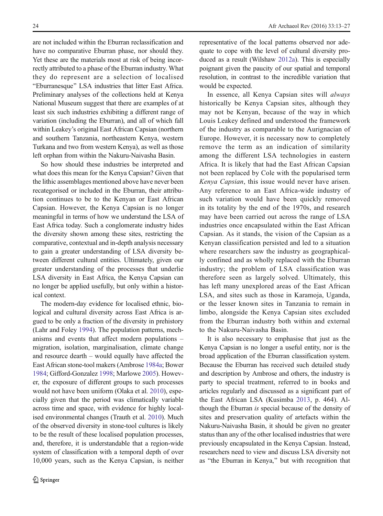are not included within the Eburran reclassification and have no comparative Eburran phase, nor should they. Yet these are the materials most at risk of being incorrectly attributed to a phase of the Eburran industry. What they do represent are a selection of localised "Eburranesque" LSA industries that litter East Africa. Preliminary analyses of the collections held at Kenya National Museum suggest that there are examples of at least six such industries exhibiting a different range of variation (including the Eburran), and all of which fall within Leakey's original East African Capsian (northern and southern Tanzania, northeastern Kenya, western Turkana and two from western Kenya), as well as those left orphan from within the Nakuru-Naivasha Basin.

So how should these industries be interpreted and what does this mean for the Kenya Capsian? Given that the lithic assemblages mentioned above have never been recategorised or included in the Eburran, their attribution continues to be to the Kenyan or East African Capsian. However, the Kenya Capsian is no longer meaningful in terms of how we understand the LSA of East Africa today. Such a conglomerate industry hides the diversity shown among these sites, restricting the comparative, contextual and in-depth analysis necessary to gain a greater understanding of LSA diversity between different cultural entities. Ultimately, given our greater understanding of the processes that underlie LSA diversity in East Africa, the Kenya Capsian can no longer be applied usefully, but only within a historical context.

The modern-day evidence for localised ethnic, biological and cultural diversity across East Africa is argued to be only a fraction of the diversity in prehistory (Lahr and Foley [1994](#page-14-0)). The population patterns, mechanisms and events that affect modern populations – migration, isolation, marginalisation, climate change and resource dearth – would equally have affected the East African stone-tool makers (Ambrose [1984a;](#page-13-0) Bower [1984](#page-14-0); Gifford-Gonzalez [1998](#page-14-0); Marlowe [2005](#page-14-0)). However, the exposure of different groups to such processes would not have been uniform (Olaka et al. [2010\)](#page-15-0), especially given that the period was climatically variable across time and space, with evidence for highly localised environmental changes (Trauth et al. [2010\)](#page-15-0). Much of the observed diversity in stone-tool cultures is likely to be the result of these localised population processes, and, therefore, it is understandable that a region-wide system of classification with a temporal depth of over 10,000 years, such as the Kenya Capsian, is neither representative of the local patterns observed nor adequate to cope with the level of cultural diversity produced as a result (Wilshaw [2012a\)](#page-15-0). This is especially poignant given the paucity of our spatial and temporal resolution, in contrast to the incredible variation that would be expected.

In essence, all Kenya Capsian sites will always historically be Kenya Capsian sites, although they may not be Kenyan, because of the way in which Louis Leakey defined and understood the framework of the industry as comparable to the Aurignacian of Europe. However, it is necessary now to completely remove the term as an indication of similarity among the different LSA technologies in eastern Africa. It is likely that had the East African Capsian not been replaced by Cole with the popularised term Kenya Capsian, this issue would never have arisen. Any reference to an East Africa-wide industry of such variation would have been quickly removed in its totality by the end of the 1970s, and research may have been carried out across the range of LSA industries once encapsulated within the East African Capsian. As it stands, the vision of the Capsian as a Kenyan classification persisted and led to a situation where researchers saw the industry as geographically confined and as wholly replaced with the Eburran industry; the problem of LSA classification was therefore seen as largely solved. Ultimately, this has left many unexplored areas of the East African LSA, and sites such as those in Karamoja, Uganda, or the lesser known sites in Tanzania to remain in limbo, alongside the Kenya Capsian sites excluded from the Eburran industry both within and external to the Nakuru-Naivasha Basin.

It is also necessary to emphasise that just as the Kenya Capsian is no longer a useful entity, nor is the broad application of the Eburran classification system. Because the Eburran has received such detailed study and description by Ambrose and others, the industry is party to special treatment, referred to in books and articles regularly and discussed as a significant part of the East African LSA (Kusimba [2013,](#page-14-0) p. 464). Although the Eburran is special because of the density of sites and preservation quality of artefacts within the Nakuru-Naivasha Basin, it should be given no greater status than any of the other localised industries that were previously encapsulated in the Kenya Capsian. Instead, researchers need to view and discuss LSA diversity not as "the Eburran in Kenya," but with recognition that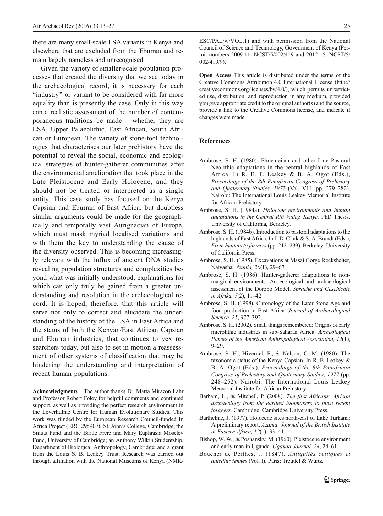<span id="page-13-0"></span>there are many small-scale LSA variants in Kenya and elsewhere that are excluded from the Eburran and remain largely nameless and unrecognised.

Given the variety of smaller-scale population processes that created the diversity that we see today in the archaeological record, it is necessary for each "industry" or variant to be considered with far more equality than is presently the case. Only in this way can a realistic assessment of the number of contemporaneous traditions be made – whether they are LSA, Upper Palaeolithic, East African, South African or European. The variety of stone-tool technologies that characterises our later prehistory have the potential to reveal the social, economic and ecological strategies of hunter-gatherer communities after the environmental amelioration that took place in the Late Pleistocene and Early Holocene, and they should not be treated or interpreted as a single entity. This case study has focused on the Kenya Capsian and Eburran of East Africa, but doubtless similar arguments could be made for the geographically and temporally vast Aurignacian of Europe, which must mask myriad localised variations and with them the key to understanding the cause of the diversity observed. This is becoming increasingly relevant with the influx of ancient DNA studies revealing population structures and complexities beyond what was initially understood, explanations for which can only truly be gained from a greater understanding and resolution in the archaeological record. It is hoped, therefore, that this article will serve not only to correct and elucidate the understanding of the history of the LSA in East Africa and the status of both the Kenyan/East African Capsian and Eburran industries, that continues to vex researchers today, but also to set in motion a reassessment of other systems of classification that may be hindering the understanding and interpretation of recent human populations.

Acknowledgments The author thanks Dr. Marta Mirazon Lahr and Professor Robert Foley for helpful comments and continued support, as well as providing the perfect research environment in the Leverhulme Centre for Human Evolutionary Studies. This work was funded by the European Research Council-funded In Africa Project (ERC 295907); St. John's College, Cambridge; the Smuts Fund and the Bartle Frere and Mary Euphrasia Moseley Fund, University of Cambridge; an Anthony Wilkin Studentship, Department of Biological Anthropology, Cambridge; and a grant from the Louis S. B. Leakey Trust. Research was carried out through affiliation with the National Museums of Kenya (NMK/ ESC/PAL/w/VOL.1) and with permission from the National Council of Science and Technology, Government of Kenya (Permit numbers 2009-11: NCST/5/002/419 and 2012-15: NCST/5/ 002/419/9).

Open Access This article is distributed under the terms of the Creative Commons Attribution 4.0 International License (http:// creativecommons.org/licenses/by/4.0/), which permits unrestricted use, distribution, and reproduction in any medium, provided you give appropriate credit to the original author(s) and the source, provide a link to the Creative Commons license, and indicate if changes were made.

#### References

- Ambrose, S. H. (1980). Elmenteitan and other Late Pastoral Neolithic adaptations in the central highlands of East Africa. In R. E. F. Leakey & B. A. Ogot (Eds.), Proceedings of the 8th Panafrican Congress of Prehistory and Quaternary Studies, 1977 (Vol. VIII, pp. 279–282). Nairobi: The International Louis Leakey Memorial Institute for African Prehistory.
- Ambrose, S. H. (1984a). Holocene environments and human adaptations in the Central Rift Valley, Kenya. PhD Thesis. University of California, Berkeley.
- Ambrose, S. H. (1984b). Introduction to pastoral adaptations to the highlands of East Africa. In J. D. Clark & S. A. Brandt (Eds.), From hunters to farmers(pp. 212–239). Berkeley: University of California Press.
- Ambrose, S. H. (1985). Excavations at Masai Gorge Rockshelter, Naivasha. Azania, 20(1), 29–67.
- Ambrose, S. H. (1986). Hunter-gatherer adaptations to nonmarginal environments: An ecological and archaeological assessment of the Dorobo Model. Sprache und Geschichte in Afrika, 7(2), 11–42.
- Ambrose, S. H. (1998). Chronology of the Later Stone Age and food production in East Africa. Journal of Archaeological Science, 25, 377–392.
- Ambrose, S. H. (2002). Small things remembered: Origins of early microlithic industries in sub‐Saharan Africa. Archeological Papers of the American Anthropological Association, 12(1), 9–29.
- Ambrose, S. H., Hivernel, F., & Nelson, C. M. (1980). The taxonomic status of the Kenya Capsian. In R. E. Leakey & B. A. Ogot (Eds.), Proceedings of the 8th Panafrican Congress of Prehistory and Quaternary Studies, 1977 (pp. 248–252). Nairobi: The International Louis Leakey Memorial Institute for African Prehistory.
- Barham, L., & Mitchell, P. (2008). The first Africans: African archaeology from the earliest toolmakers to most recent foragers. Cambridge: Cambridge University Press.
- Barthelme, J. (1977). Holocene sites north-east of Lake Turkana: A preliminary report. Azania: Journal of the British Institute in Eastern Africa, 12(1), 33–41.
- Bishop, W. W., & Posnansky, M. (1960). Pleistocene environment and early man in Uganda. Uganda Journal, 24, 24–61.
- Boucher de Perthes, J. (1847). Antiquités celtiques et antédiluviennes (Vol. I). Paris: Treuttel & Wurtz.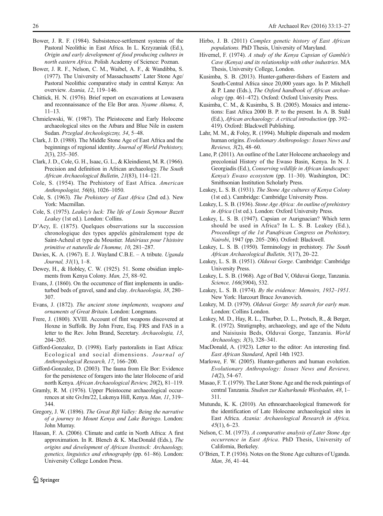- <span id="page-14-0"></span>Bower, J. R. F., Nelson, C. M., Waibel, A. F., & Wandibba, S. (1977). The University of Massachusetts' Later Stone Age/ Pastoral Neolithic comparative study in central Kenya: An overview. Azania, 12, 119–146.
- Chittick, H. N. (1976). Brief report on excavations at Lowasera and reconnaissance of the Ele Bor area. Nyame Akuma, 8, 11–13.
- Chmielewski, W. (1987). The Pleistocene and Early Holocene archaeological sites on the Atbara and Blue Nile in eastern Sudan. Przeglad Archeologiczny, 34, 5–48.
- Clark, J. D. (1988). The Middle Stone Age of East Africa and the beginnings of regional identity. Journal of World Prehistory, 2(3), 235–305.
- Clark, J. D., Cole, G. H., Isaac, G. L., & Kleindienst, M. R. (1966). Precision and definition in African archaeology. The South African Archaeological Bulletin, 21(83), 114–121.
- Cole, S. (1954). The Prehistory of East Africa. American Anthropologist, 56(6), 1026–1050.
- Cole, S. (1963). The Prehistory of East Africa (2nd ed.). New York: Macmillan.
- Cole, S. (1975). Leakey's luck: The life of Louis Seymour Bazett Leakey (1st ed.). London: Collins.
- D'Acy, E. (1875). Quelques observations sur la succession chronologique des types appelés généralement type de Saint-Acheul et type du Moustier. Matériaux pour l'histoire primitive et naturelle de l'homme, 10, 281–287.
- Davies, K. A. (1967). E. J. Wayland C.B.E. A tribute. Uganda Journal, 31(1), 1–8.
- Dewey, H., & Hobley, C. W. (1925). 51. Some obsidian implements from Kenya Colony. Man, 25, 88–92.
- Evans, J. (1860). On the occurrence of flint implements in undisturbed beds of gravel, sand and clay. Archaeologia, 38, 280– 307.
- Evans, J. (1872). The ancient stone implements, weapons and ornaments of Great Britain. London: Longmans.
- Frere, J. (1800). XVIII. Account of flint weapons discovered at Hoxne in Suffolk. By John Frere, Esq. FRS and FAS in a letter to the Rev. John Brand, Secretary. Archaeologia, 13, 204–205.
- Gifford-Gonzalez, D. (1998). Early pastoralists in East Africa: Ecological and social dimensions. Journal of Anthropological Research, 17, 166–200.
- Gifford-Gonzalez, D. (2003). The fauna from Ele Bor: Evidence for the persistence of foragers into the later Holocene of arid north Kenya. African Archaeological Review, 20(2), 81–119.
- Gramly, R. M. (1976). Upper Pleistocene archaeological occurrences at site GvJm/22, Lukenya Hill, Kenya. Man, 11, 319– 344.
- Gregory, J. W. (1896). The Great Rift Valley: Being the narrative of a journey to Mount Kenya and Lake Baringo. London: John Murray.
- Hassan, F. A. (2006). Climate and cattle in North Africa: A first approximation. In R. Blench & K. MacDonald (Eds.), The origins and development of African livestock: Archaeology, genetics, linguistics and ethnography (pp. 61–86). London: University College London Press.
- Hirbo, J. B. (2011) Complex genetic history of East African populations. PhD Thesis, University of Maryland.
- Hivernel, F. (1974). A study of the Kenya Capsian of Gamble's Cave (Kenya) and its relationship with other industries. MA Thesis, University College, London.
- Kusimba, S. B. (2013). Hunter-gatherer-fishers of Eastern and South-Central Africa since 20,000 years ago. In P. Mitchell & P. Lane (Eds.), The Oxford handbook of African archaeology (pp. 461–472). Oxford: Oxford University Press.
- Kusimba, C. M., & Kusimba, S. B. (2005). Mosaics and interactions: East Africa 2000 B. P. to the present. In A. B. Stahl (Ed.), African archaeology: A critical introduction (pp. 392– 419). Oxford: Blackwell Publishing.
- Lahr, M. M., & Foley, R. (1994). Multiple dispersals and modern human origins. Evolutionary Anthropology: Issues News and Reviews, 3(2), 48–60.
- Lane, P. (2011). An outline of the Later Holocene archaeology and precolonial History of the Ewaso Basin, Kenya. In N. J. Georgiadis (Ed.), Conserving wildlife in African landscapes: Kenya's Ewaso ecosystem (pp. 11–30). Washington, DC: Smithsonian Institution Scholarly Press.
- Leakey, L. S. B. (1931). The Stone Age cultures of Kenya Colony (1st ed.). Cambridge: Cambridge University Press.
- Leakey, L. S. B. (1936). Stone Age Africa: An outline of prehistory in Africa (1st ed.). London: Oxford University Press.
- Leakey, L. S. B. (1947). Capsian or Aurignacian? Which term should be used in Africa? In L. S. B. Leakey (Ed.), Proceedings of the 1st Panafrican Congress on Prehistory, Nairobi, 1947 (pp. 205–206). Oxford: Blackwell.
- Leakey, L. S. B. (1950). Terminology in prehistory. The South African Archaeological Bulletin, 5(17), 20–22.
- Leakey, L. S. B. (1951). Olduvai Gorge. Cambridge: Cambridge University Press.
- Leakey, L. S. B. (1968). Age of Bed V, Olduvai Gorge, Tanzania. Science, 166(3904), 532.
- Leakey, L. S. B. (1974). By the evidence: Memoirs, 1932–1951. New York: Harcourt Brace Jovanovich.
- Leakey, M. D. (1979). Olduvai Gorge: My search for early man. London: Collins London.
- Leakey, M. D., Hay, R. L., Thurber, D. L., Protsch, R., & Berger, R. (1972). Stratigraphy, archaeology, and age of the Ndutu and Naisiusiu Beds, Olduvai Gorge, Tanzania. World Archaeology, 3(3), 328–341.
- MacDonald, A. (1923). Letter to the editor: An interesting find. East African Standard, April 14th 1923.
- Marlowe, F. W. (2005). Hunter-gatherers and human evolution. Evolutionary Anthropology: Issues News and Reviews, 14(2), 54–67.
- Masao, F. T. (1979). The Later Stone Age and the rock paintings of central Tanzania. Studien zur Kulturkunde Wiesbaden, 48, 1– 311.
- Mutundu, K. K. (2010). An ethnoarchaeological framework for the identification of Late Holocene archaeological sites in East Africa. Azania: Archaeological Research in Africa, 45(1), 6–23.
- Nelson, C. M. (1973). A comparative analysis of Later Stone Age occurrence in East Africa. PhD Thesis, University of California, Berkeley.
- O'Brien, T. P. (1936). Notes on the Stone Age cultures of Uganda. Man, 36, 41–44.